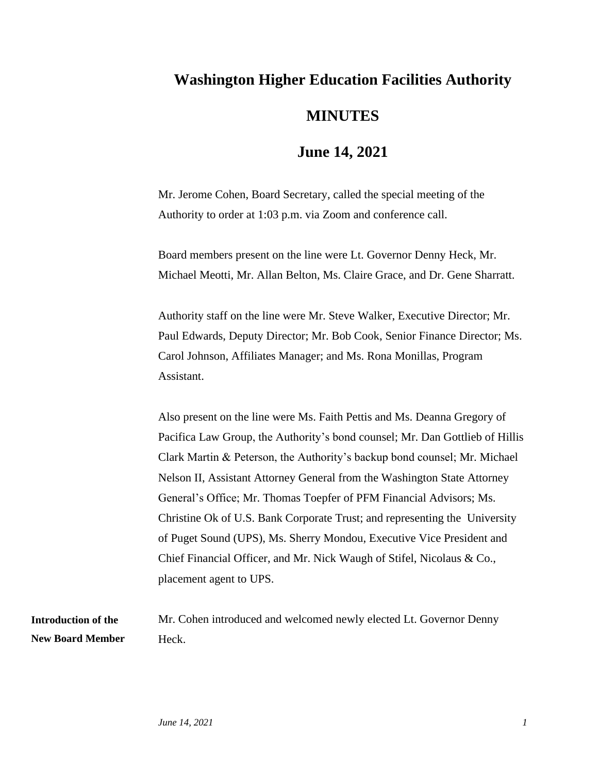## **Washington Higher Education Facilities Authority MINUTES**

## **June 14, 2021**

Mr. Jerome Cohen, Board Secretary, called the special meeting of the Authority to order at 1:03 p.m. via Zoom and conference call.

Board members present on the line were Lt. Governor Denny Heck, Mr. Michael Meotti, Mr. Allan Belton, Ms. Claire Grace, and Dr. Gene Sharratt.

Authority staff on the line were Mr. Steve Walker, Executive Director; Mr. Paul Edwards, Deputy Director; Mr. Bob Cook, Senior Finance Director; Ms. Carol Johnson, Affiliates Manager; and Ms. Rona Monillas, Program Assistant.

Also present on the line were Ms. Faith Pettis and Ms. Deanna Gregory of Pacifica Law Group, the Authority's bond counsel; Mr. Dan Gottlieb of Hillis Clark Martin & Peterson, the Authority's backup bond counsel; Mr. Michael Nelson II, Assistant Attorney General from the Washington State Attorney General's Office; Mr. Thomas Toepfer of PFM Financial Advisors; Ms. Christine Ok of U.S. Bank Corporate Trust; and representing the University of Puget Sound (UPS), Ms. Sherry Mondou, Executive Vice President and Chief Financial Officer, and Mr. Nick Waugh of Stifel, Nicolaus & Co., placement agent to UPS.

Mr. Cohen introduced and welcomed newly elected Lt. Governor Denny Heck. **Introduction of the New Board Member**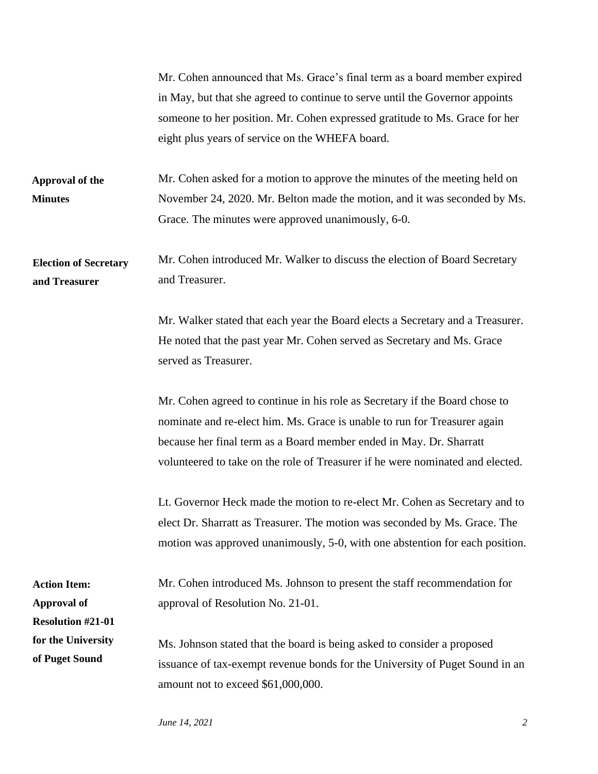|                                                                       | Mr. Cohen announced that Ms. Grace's final term as a board member expired<br>in May, but that she agreed to continue to serve until the Governor appoints<br>someone to her position. Mr. Cohen expressed gratitude to Ms. Grace for her<br>eight plus years of service on the WHEFA board.                       |
|-----------------------------------------------------------------------|-------------------------------------------------------------------------------------------------------------------------------------------------------------------------------------------------------------------------------------------------------------------------------------------------------------------|
| Approval of the<br><b>Minutes</b>                                     | Mr. Cohen asked for a motion to approve the minutes of the meeting held on<br>November 24, 2020. Mr. Belton made the motion, and it was seconded by Ms.<br>Grace. The minutes were approved unanimously, 6-0.                                                                                                     |
| <b>Election of Secretary</b><br>and Treasurer                         | Mr. Cohen introduced Mr. Walker to discuss the election of Board Secretary<br>and Treasurer.                                                                                                                                                                                                                      |
|                                                                       | Mr. Walker stated that each year the Board elects a Secretary and a Treasurer.<br>He noted that the past year Mr. Cohen served as Secretary and Ms. Grace<br>served as Treasurer.                                                                                                                                 |
|                                                                       | Mr. Cohen agreed to continue in his role as Secretary if the Board chose to<br>nominate and re-elect him. Ms. Grace is unable to run for Treasurer again<br>because her final term as a Board member ended in May. Dr. Sharratt<br>volunteered to take on the role of Treasurer if he were nominated and elected. |
|                                                                       | Lt. Governor Heck made the motion to re-elect Mr. Cohen as Secretary and to<br>elect Dr. Sharratt as Treasurer. The motion was seconded by Ms. Grace. The<br>motion was approved unanimously, 5-0, with one abstention for each position.                                                                         |
| <b>Action Item:</b><br><b>Approval of</b><br><b>Resolution #21-01</b> | Mr. Cohen introduced Ms. Johnson to present the staff recommendation for<br>approval of Resolution No. 21-01.                                                                                                                                                                                                     |
| for the University<br>of Puget Sound                                  | Ms. Johnson stated that the board is being asked to consider a proposed<br>issuance of tax-exempt revenue bonds for the University of Puget Sound in an<br>amount not to exceed \$61,000,000.                                                                                                                     |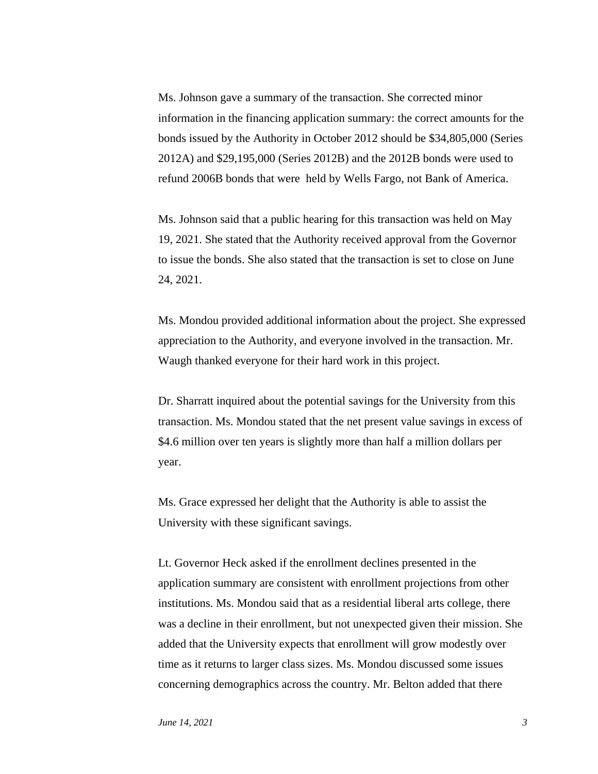Ms. Johnson gave a summary of the transaction. She corrected minor information in the financing application summary: the correct amounts for the bonds issued by the Authority in October 2012 should be \$34,805,000 (Series 2012A) and \$29,195,000 (Series 2012B) and the 2012B bonds were used to refund 2006B bonds that were held by Wells Fargo, not Bank of America.

Ms. Johnson said that a public hearing for this transaction was held on May 19, 2021. She stated that the Authority received approval from the Governor to issue the bonds. She also stated that the transaction is set to close on June 24, 2021.

Ms. Mondou provided additional information about the project. She expressed appreciation to the Authority, and everyone involved in the transaction. Mr. Waugh thanked everyone for their hard work in this project.

Dr. Sharratt inquired about the potential savings for the University from this transaction. Ms. Mondou stated that the net present value savings in excess of \$4.6 million over ten years is slightly more than half a million dollars per year.

Ms. Grace expressed her delight that the Authority is able to assist the University with these significant savings.

Lt. Governor Heck asked if the enrollment declines presented in the application summary are consistent with enrollment projections from other institutions. Ms. Mondou said that as a residential liberal arts college, there was a decline in their enrollment, but not unexpected given their mission. She added that the University expects that enrollment will grow modestly over time as it returns to larger class sizes. Ms. Mondou discussed some issues concerning demographics across the country. Mr. Belton added that there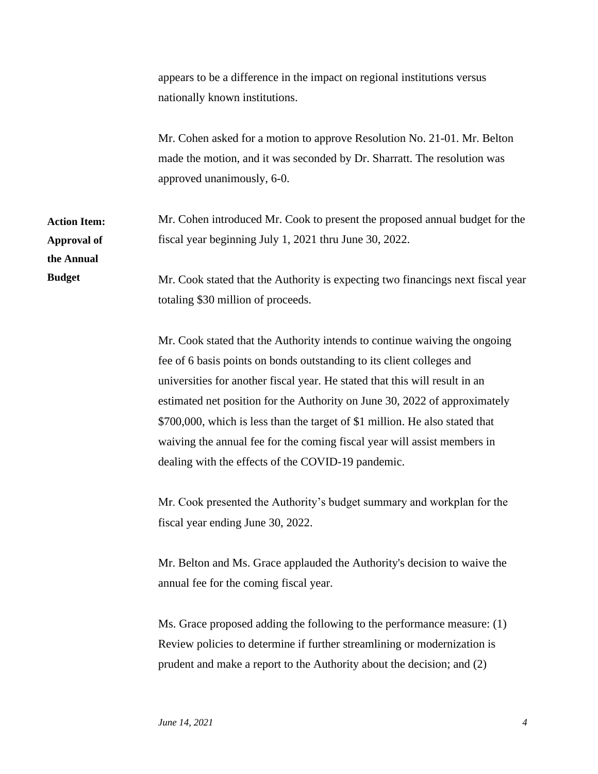appears to be a difference in the impact on regional institutions versus nationally known institutions. Mr. Cohen asked for a motion to approve Resolution No. 21-01. Mr. Belton made the motion, and it was seconded by Dr. Sharratt. The resolution was approved unanimously, 6-0. Mr. Cohen introduced Mr. Cook to present the proposed annual budget for the fiscal year beginning July 1, 2021 thru June 30, 2022. Mr. Cook stated that the Authority is expecting two financings next fiscal year totaling \$30 million of proceeds. Mr. Cook stated that the Authority intends to continue waiving the ongoing fee of 6 basis points on bonds outstanding to its client colleges and universities for another fiscal year. He stated that this will result in an estimated net position for the Authority on June 30, 2022 of approximately \$700,000, which is less than the target of \$1 million. He also stated that waiving the annual fee for the coming fiscal year will assist members in dealing with the effects of the COVID-19 pandemic. Mr. Cook presented the Authority's budget summary and workplan for the fiscal year ending June 30, 2022. Mr. Belton and Ms. Grace applauded the Authority's decision to waive the annual fee for the coming fiscal year. **Action Item: Approval of the Annual Budget**

> Ms. Grace proposed adding the following to the performance measure: (1) Review policies to determine if further streamlining or modernization is prudent and make a report to the Authority about the decision; and (2)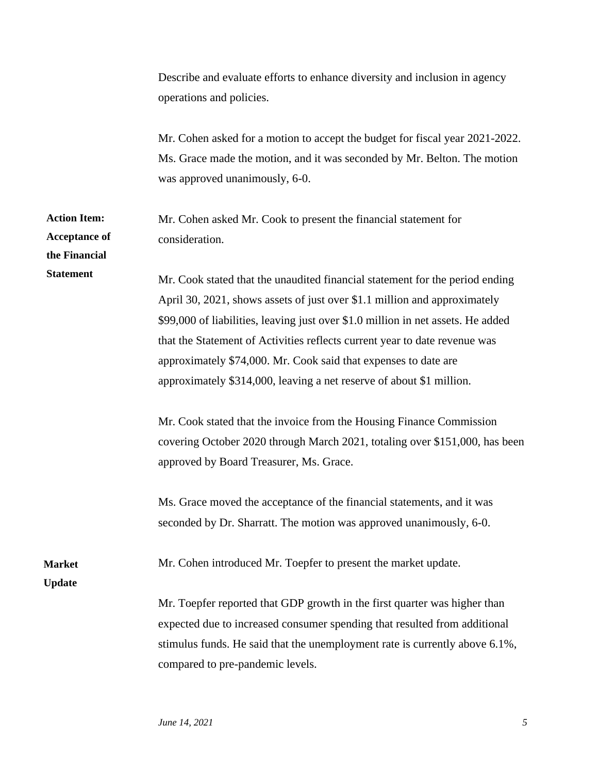|                                                              | Describe and evaluate efforts to enhance diversity and inclusion in agency<br>operations and policies.                                                                                                                                                                                                                                                                                                                                                                 |
|--------------------------------------------------------------|------------------------------------------------------------------------------------------------------------------------------------------------------------------------------------------------------------------------------------------------------------------------------------------------------------------------------------------------------------------------------------------------------------------------------------------------------------------------|
|                                                              | Mr. Cohen asked for a motion to accept the budget for fiscal year 2021-2022.<br>Ms. Grace made the motion, and it was seconded by Mr. Belton. The motion<br>was approved unanimously, 6-0.                                                                                                                                                                                                                                                                             |
| <b>Action Item:</b><br><b>Acceptance of</b><br>the Financial | Mr. Cohen asked Mr. Cook to present the financial statement for<br>consideration.                                                                                                                                                                                                                                                                                                                                                                                      |
| <b>Statement</b>                                             | Mr. Cook stated that the unaudited financial statement for the period ending<br>April 30, 2021, shows assets of just over \$1.1 million and approximately<br>\$99,000 of liabilities, leaving just over \$1.0 million in net assets. He added<br>that the Statement of Activities reflects current year to date revenue was<br>approximately \$74,000. Mr. Cook said that expenses to date are<br>approximately \$314,000, leaving a net reserve of about \$1 million. |
|                                                              | Mr. Cook stated that the invoice from the Housing Finance Commission<br>covering October 2020 through March 2021, totaling over \$151,000, has been<br>approved by Board Treasurer, Ms. Grace.                                                                                                                                                                                                                                                                         |
|                                                              | Ms. Grace moved the acceptance of the financial statements, and it was<br>seconded by Dr. Sharratt. The motion was approved unanimously, 6-0.                                                                                                                                                                                                                                                                                                                          |
| <b>Market</b><br><b>Update</b>                               | Mr. Cohen introduced Mr. Toepfer to present the market update.                                                                                                                                                                                                                                                                                                                                                                                                         |
|                                                              | Mr. Toepfer reported that GDP growth in the first quarter was higher than<br>expected due to increased consumer spending that resulted from additional<br>stimulus funds. He said that the unemployment rate is currently above 6.1%,<br>compared to pre-pandemic levels.                                                                                                                                                                                              |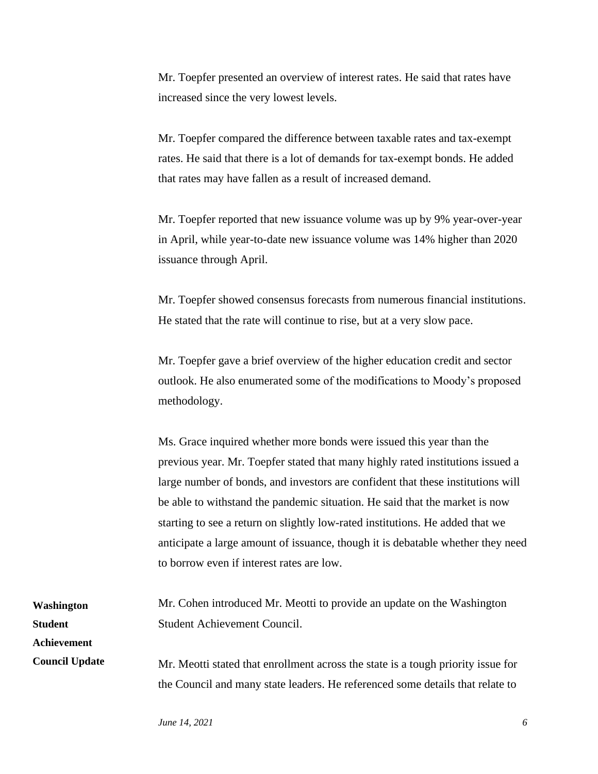Mr. Toepfer presented an overview of interest rates. He said that rates have increased since the very lowest levels.

Mr. Toepfer compared the difference between taxable rates and tax-exempt rates. He said that there is a lot of demands for tax-exempt bonds. He added that rates may have fallen as a result of increased demand.

Mr. Toepfer reported that new issuance volume was up by 9% year-over-year in April, while year-to-date new issuance volume was 14% higher than 2020 issuance through April.

Mr. Toepfer showed consensus forecasts from numerous financial institutions. He stated that the rate will continue to rise, but at a very slow pace.

Mr. Toepfer gave a brief overview of the higher education credit and sector outlook. He also enumerated some of the modifications to Moody's proposed methodology.

Ms. Grace inquired whether more bonds were issued this year than the previous year. Mr. Toepfer stated that many highly rated institutions issued a large number of bonds, and investors are confident that these institutions will be able to withstand the pandemic situation. He said that the market is now starting to see a return on slightly low-rated institutions. He added that we anticipate a large amount of issuance, though it is debatable whether they need to borrow even if interest rates are low.

Mr. Cohen introduced Mr. Meotti to provide an update on the Washington Student Achievement Council. Mr. Meotti stated that enrollment across the state is a tough priority issue for **Washington Student Achievement Council Update**

the Council and many state leaders. He referenced some details that relate to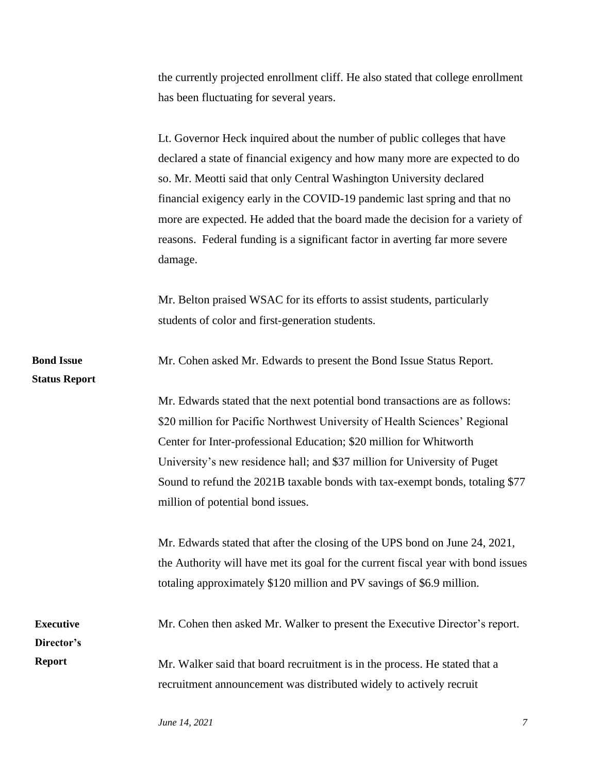the currently projected enrollment cliff. He also stated that college enrollment has been fluctuating for several years.

Lt. Governor Heck inquired about the number of public colleges that have declared a state of financial exigency and how many more are expected to do so. Mr. Meotti said that only Central Washington University declared financial exigency early in the COVID-19 pandemic last spring and that no more are expected. He added that the board made the decision for a variety of reasons. Federal funding is a significant factor in averting far more severe damage.

Mr. Belton praised WSAC for its efforts to assist students, particularly students of color and first-generation students.

Mr. Cohen asked Mr. Edwards to present the Bond Issue Status Report. **Bond Issue Status Report**

> Mr. Edwards stated that the next potential bond transactions are as follows: \$20 million for Pacific Northwest University of Health Sciences' Regional Center for Inter-professional Education; \$20 million for Whitworth University's new residence hall; and \$37 million for University of Puget Sound to refund the 2021B taxable bonds with tax-exempt bonds, totaling \$77 million of potential bond issues.

> Mr. Edwards stated that after the closing of the UPS bond on June 24, 2021, the Authority will have met its goal for the current fiscal year with bond issues totaling approximately \$120 million and PV savings of \$6.9 million.

Mr. Cohen then asked Mr. Walker to present the Executive Director's report. Mr. Walker said that board recruitment is in the process. He stated that a **Executive Director's Report**

recruitment announcement was distributed widely to actively recruit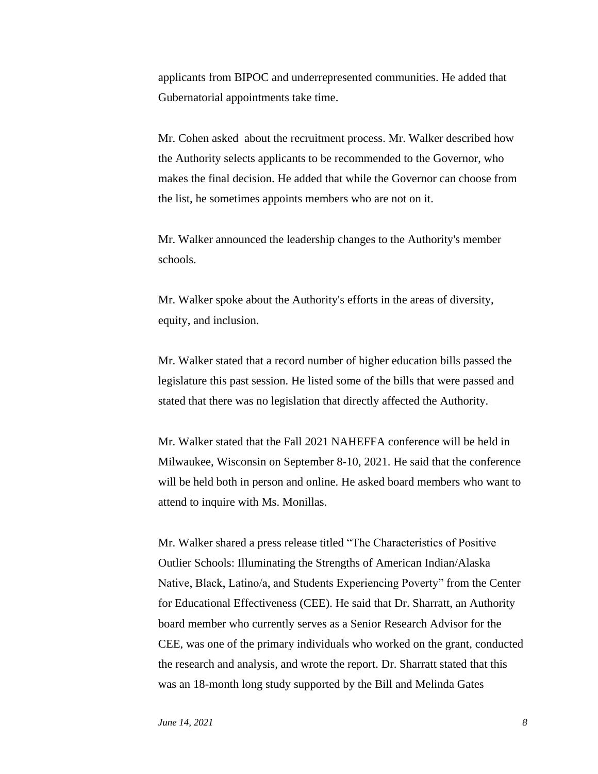applicants from BIPOC and underrepresented communities. He added that Gubernatorial appointments take time.

Mr. Cohen asked about the recruitment process. Mr. Walker described how the Authority selects applicants to be recommended to the Governor, who makes the final decision. He added that while the Governor can choose from the list, he sometimes appoints members who are not on it.

Mr. Walker announced the leadership changes to the Authority's member schools.

Mr. Walker spoke about the Authority's efforts in the areas of diversity, equity, and inclusion.

Mr. Walker stated that a record number of higher education bills passed the legislature this past session. He listed some of the bills that were passed and stated that there was no legislation that directly affected the Authority.

Mr. Walker stated that the Fall 2021 NAHEFFA conference will be held in Milwaukee, Wisconsin on September 8-10, 2021. He said that the conference will be held both in person and online. He asked board members who want to attend to inquire with Ms. Monillas.

Mr. Walker shared a press release titled "The Characteristics of Positive Outlier Schools: Illuminating the Strengths of American Indian/Alaska Native, Black, Latino/a, and Students Experiencing Poverty" from the Center for Educational Effectiveness (CEE). He said that Dr. Sharratt, an Authority board member who currently serves as a Senior Research Advisor for the CEE, was one of the primary individuals who worked on the grant, conducted the research and analysis, and wrote the report. Dr. Sharratt stated that this was an 18-month long study supported by the Bill and Melinda Gates